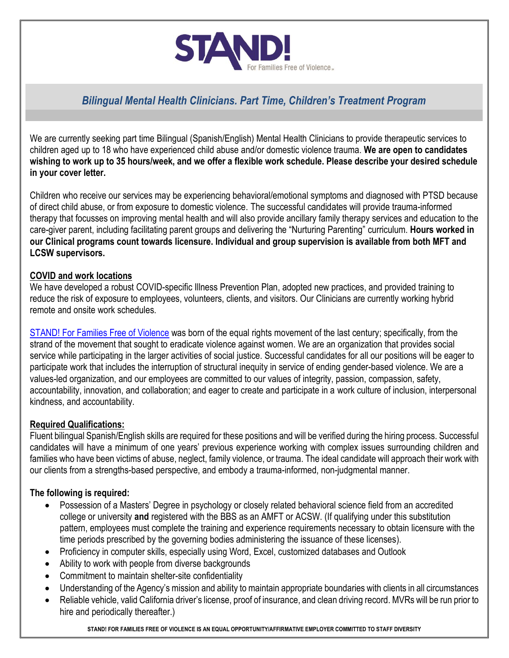

# *Bilingual Mental Health Clinicians. Part Time, Children's Treatment Program*

We are currently seeking part time Bilingual (Spanish/English) Mental Health Clinicians to provide therapeutic services to children aged up to 18 who have experienced child abuse and/or domestic violence trauma. **We are open to candidates wishing to work up to 35 hours/week, and we offer a flexible work schedule. Please describe your desired schedule in your cover letter.**

Children who receive our services may be experiencing behavioral/emotional symptoms and diagnosed with PTSD because of direct child abuse, or from exposure to domestic violence. The successful candidates will provide trauma-informed therapy that focusses on improving mental health and will also provide ancillary family therapy services and education to the care-giver parent, including facilitating parent groups and delivering the "Nurturing Parenting" curriculum. **Hours worked in our Clinical programs count towards licensure. Individual and group supervision is available from both MFT and LCSW supervisors.**

#### **COVID and work locations**

We have developed a robust COVID-specific Illness Prevention Plan, adopted new practices, and provided training to reduce the risk of exposure to employees, volunteers, clients, and visitors. Our Clinicians are currently working hybrid remote and onsite work schedules.

STAND! [For Families Free of Violence](https://www.standffov.org/) was born of the equal rights movement of the last century; specifically, from the strand of the movement that sought to eradicate violence against women. We are an organization that provides social service while participating in the larger activities of social justice. Successful candidates for all our positions will be eager to participate work that includes the interruption of structural inequity in service of ending gender-based violence. We are a values-led organization, and our employees are committed to our values of integrity, passion, compassion, safety, accountability, innovation, and collaboration; and eager to create and participate in a work culture of inclusion, interpersonal kindness, and accountability.

### **Required Qualifications:**

Fluent bilingual Spanish/English skills are required for these positions and will be verified during the hiring process. Successful candidates will have a minimum of one years' previous experience working with complex issues surrounding children and families who have been victims of abuse, neglect, family violence, or trauma. The ideal candidate will approach their work with our clients from a strengths-based perspective, and embody a trauma-informed, non-judgmental manner.

### **The following is required:**

- Possession of a Masters' Degree in psychology or closely related behavioral science field from an accredited college or university **and** registered with the BBS as an AMFT or ACSW. (If qualifying under this substitution pattern, employees must complete the training and experience requirements necessary to obtain licensure with the time periods prescribed by the governing bodies administering the issuance of these licenses).
- Proficiency in computer skills, especially using Word, Excel, customized databases and Outlook
- Ability to work with people from diverse backgrounds
- Commitment to maintain shelter-site confidentiality
- Understanding of the Agency's mission and ability to maintain appropriate boundaries with clients in all circumstances
- Reliable vehicle, valid California driver's license, proof of insurance, and clean driving record. MVRs will be run prior to hire and periodically thereafter.)